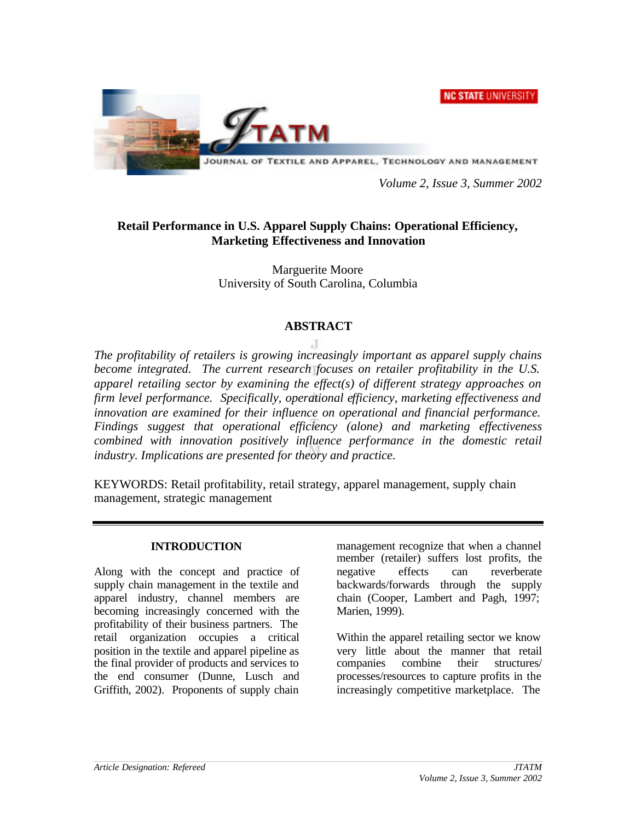**NC STATE UNIVERSITY** 



*Volume 2, Issue 3, Summer 2002*

# **Retail Performance in U.S. Apparel Supply Chains: Operational Efficiency, Marketing Effectiveness and Innovation**

Marguerite Moore University of South Carolina, Columbia

## **ABSTRACT**

*The profitability of retailers is growing increasingly important as apparel supply chains become integrated. The current research focuses on retailer profitability in the U.S. apparel retailing sector by examining the effect(s) of different strategy approaches on firm level performance. Specifically, operational efficiency, marketing effectiveness and innovation are examined for their influence on operational and financial performance. Findings suggest that operational efficiency (alone) and marketing effectiveness combined with innovation positively influence performance in the domestic retail industry. Implications are presented for theory and practice.*

KEYWORDS: Retail profitability, retail strategy, apparel management, supply chain management, strategic management

#### **INTRODUCTION**

Along with the concept and practice of supply chain management in the textile and apparel industry, channel members are becoming increasingly concerned with the profitability of their business partners. The retail organization occupies a critical position in the textile and apparel pipeline as the final provider of products and services to the end consumer (Dunne, Lusch and Griffith, 2002). Proponents of supply chain management recognize that when a channel member (retailer) suffers lost profits, the negative effects can reverberate backwards/forwards through the supply chain (Cooper, Lambert and Pagh, 1997; Marien, 1999).

Within the apparel retailing sector we know very little about the manner that retail companies combine their structures/ processes/resources to capture profits in the increasingly competitive marketplace. The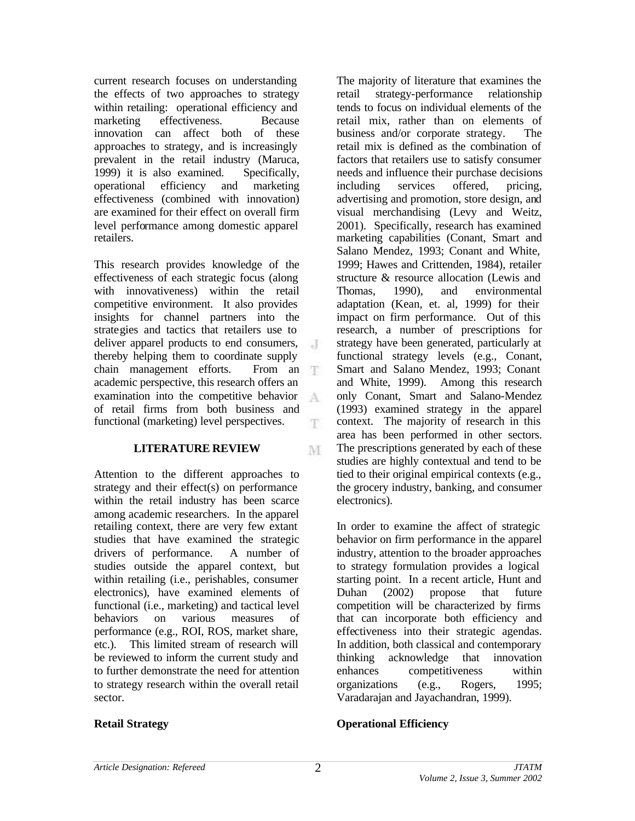current research focuses on understanding the effects of two approaches to strategy within retailing: operational efficiency and marketing effectiveness. Because innovation can affect both of these approaches to strategy, and is increasingly prevalent in the retail industry (Maruca, 1999) it is also examined. Specifically, operational efficiency and marketing effectiveness (combined with innovation) are examined for their effect on overall firm level performance among domestic apparel retailers.

This research provides knowledge of the effectiveness of each strategic focus (along with innovativeness) within the retail competitive environment. It also provides insights for channel partners into the strategies and tactics that retailers use to deliver apparel products to end consumers,  $\cdot$ thereby helping them to coordinate supply chain management efforts. From an 平 academic perspective, this research offers an examination into the competitive behavior A of retail firms from both business and functional (marketing) level perspectives. T.

#### **LITERATURE REVIEW**

Attention to the different approaches to strategy and their effect(s) on performance within the retail industry has been scarce among academic researchers. In the apparel retailing context, there are very few extant studies that have examined the strategic drivers of performance. A number of studies outside the apparel context, but within retailing (i.e., perishables, consumer electronics), have examined elements of functional (i.e., marketing) and tactical level behaviors on various measures of performance (e.g., ROI, ROS, market share, etc.). This limited stream of research will be reviewed to inform the current study and to further demonstrate the need for attention to strategy research within the overall retail sector.

The majority of literature that examines the retail strategy-performance relationship tends to focus on individual elements of the retail mix, rather than on elements of business and/or corporate strategy. The retail mix is defined as the combination of factors that retailers use to satisfy consumer needs and influence their purchase decisions including services offered, pricing, advertising and promotion, store design, and visual merchandising (Levy and Weitz, 2001). Specifically, research has examined marketing capabilities (Conant, Smart and Salano Mendez, 1993; Conant and White, 1999; Hawes and Crittenden, 1984), retailer structure & resource allocation (Lewis and Thomas, 1990), and environmental adaptation (Kean, et. al, 1999) for their impact on firm performance. Out of this research, a number of prescriptions for strategy have been generated, particularly at functional strategy levels (e.g., Conant, Smart and Salano Mendez, 1993; Conant and White, 1999). Among this research only Conant, Smart and Salano-Mendez (1993) examined strategy in the apparel context. The majority of research in this area has been performed in other sectors. The prescriptions generated by each of these studies are highly contextual and tend to be tied to their original empirical contexts (e.g., the grocery industry, banking, and consumer electronics).

In order to examine the affect of strategic behavior on firm performance in the apparel industry, attention to the broader approaches to strategy formulation provides a logical starting point. In a recent article, Hunt and Duhan (2002) propose that future competition will be characterized by firms that can incorporate both efficiency and effectiveness into their strategic agendas. In addition, both classical and contemporary thinking acknowledge that innovation enhances competitiveness within organizations (e.g., Rogers, 1995; Varadarajan and Jayachandran, 1999).

#### **Retail Strategy**

#### **Operational Efficiency**

M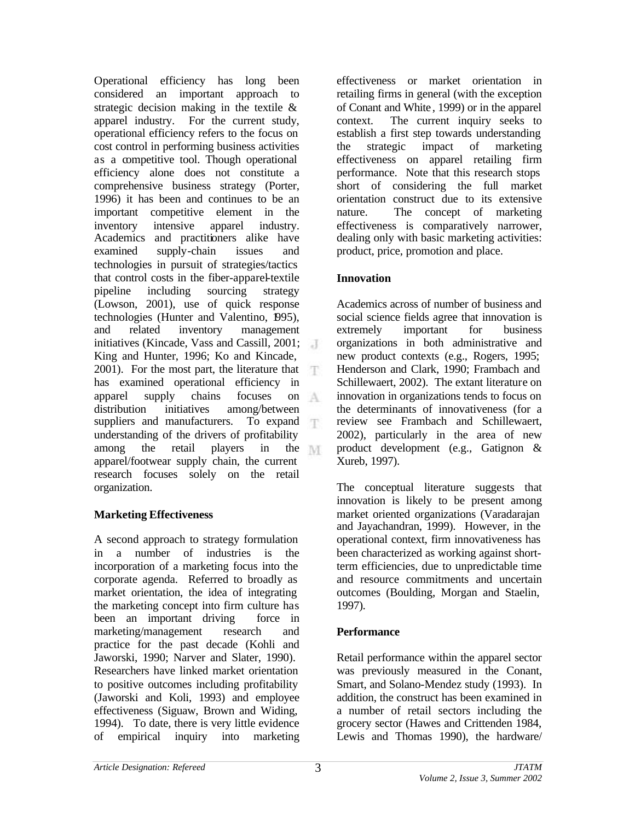Operational efficiency has long been considered an important approach to strategic decision making in the textile & apparel industry. For the current study, operational efficiency refers to the focus on cost control in performing business activities as a competitive tool. Though operational efficiency alone does not constitute a comprehensive business strategy (Porter, 1996) it has been and continues to be an important competitive element in the inventory intensive apparel industry. Academics and practitioners alike have examined supply-chain issues and technologies in pursuit of strategies/tactics that control costs in the fiber-apparel-textile pipeline including sourcing strategy (Lowson, 2001), use of quick response technologies (Hunter and Valentino, 1995), and related inventory management initiatives (Kincade, Vass and Cassill, 2001; King and Hunter, 1996; Ko and Kincade, 2001). For the most part, the literature that has examined operational efficiency in apparel supply chains focuses on -A. distribution initiatives among/between suppliers and manufacturers. To expand understanding of the drivers of profitability among the retail players in the apparel/footwear supply chain, the current research focuses solely on the retail organization.

# **Marketing Effectiveness**

A second approach to strategy formulation in a number of industries is the incorporation of a marketing focus into the corporate agenda. Referred to broadly as market orientation, the idea of integrating the marketing concept into firm culture has been an important driving force in marketing/management research and practice for the past decade (Kohli and Jaworski, 1990; Narver and Slater, 1990). Researchers have linked market orientation to positive outcomes including profitability (Jaworski and Koli, 1993) and employee effectiveness (Siguaw, Brown and Widing, 1994). To date, there is very little evidence of empirical inquiry into marketing effectiveness or market orientation in retailing firms in general (with the exception of Conant and White , 1999) or in the apparel context. The current inquiry seeks to establish a first step towards understanding the strategic impact of marketing effectiveness on apparel retailing firm performance. Note that this research stops short of considering the full market orientation construct due to its extensive nature. The concept of marketing effectiveness is comparatively narrower, dealing only with basic marketing activities: product, price, promotion and place.

# **Innovation**

Academics across of number of business and social science fields agree that innovation is extremely important for business organizations in both administrative and new product contexts (e.g., Rogers, 1995; Henderson and Clark, 1990; Frambach and Schillewaert, 2002). The extant literature on innovation in organizations tends to focus on the determinants of innovativeness (for a review see Frambach and Schillewaert, 2002), particularly in the area of new product development (e.g., Gatignon & Xureb, 1997).

The conceptual literature suggests that innovation is likely to be present among market oriented organizations (Varadarajan and Jayachandran, 1999). However, in the operational context, firm innovativeness has been characterized as working against shortterm efficiencies, due to unpredictable time and resource commitments and uncertain outcomes (Boulding, Morgan and Staelin, 1997).

# **Performance**

Retail performance within the apparel sector was previously measured in the Conant, Smart, and Solano-Mendez study (1993). In addition, the construct has been examined in a number of retail sectors including the grocery sector (Hawes and Crittenden 1984, Lewis and Thomas 1990), the hardware/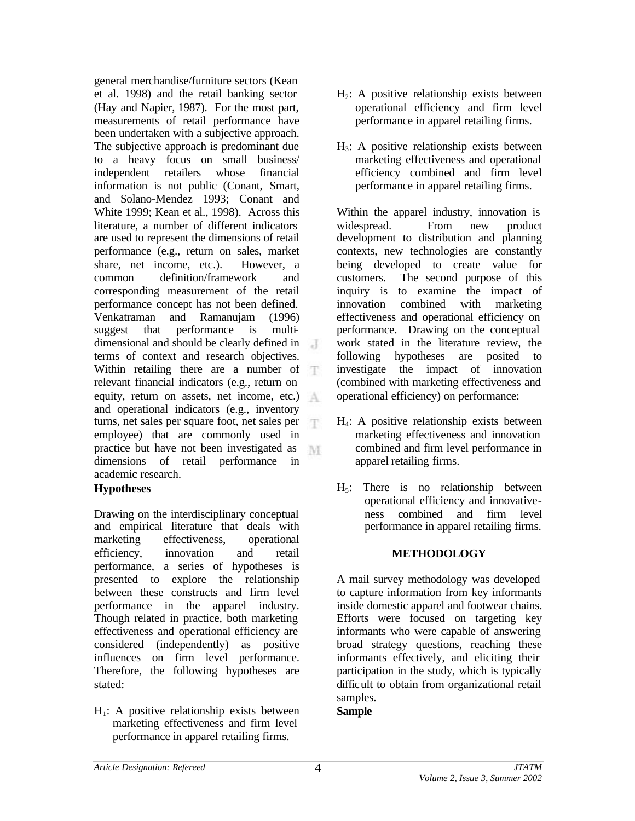general merchandise/furniture sectors (Kean et al. 1998) and the retail banking sector (Hay and Napier, 1987). For the most part, measurements of retail performance have been undertaken with a subjective approach. The subjective approach is predominant due to a heavy focus on small business/ independent retailers whose financial information is not public (Conant, Smart, and Solano-Mendez 1993; Conant and White 1999; Kean et al., 1998). Across this literature, a number of different indicators are used to represent the dimensions of retail performance (e.g., return on sales, market share, net income, etc.). However, a common definition/framework and corresponding measurement of the retail performance concept has not been defined. Venkatraman and Ramanujam (1996) suggest that performance is multidimensional and should be clearly defined in terms of context and research objectives. Within retailing there are a number of relevant financial indicators (e.g., return on equity, return on assets, net income, etc.) and operational indicators (e.g., inventory turns, net sales per square foot, net sales per employee) that are commonly used in practice but have not been investigated as M dimensions of retail performance in academic research.

#### **Hypotheses**

Drawing on the interdisciplinary conceptual and empirical literature that deals with marketing effectiveness, operational efficiency, innovation and retail performance, a series of hypotheses is presented to explore the relationship between these constructs and firm level performance in the apparel industry. Though related in practice, both marketing effectiveness and operational efficiency are considered (independently) as positive influences on firm level performance. Therefore, the following hypotheses are stated:

 $H<sub>1</sub>$ : A positive relationship exists between marketing effectiveness and firm level performance in apparel retailing firms.

- $H<sub>2</sub>$ : A positive relationship exists between operational efficiency and firm level performance in apparel retailing firms.
- $H_3$ : A positive relationship exists between marketing effectiveness and operational efficiency combined and firm level performance in apparel retailing firms.

Within the apparel industry, innovation is widespread. From new product development to distribution and planning contexts, new technologies are constantly being developed to create value for customers. The second purpose of this inquiry is to examine the impact of innovation combined with marketing effectiveness and operational efficiency on performance. Drawing on the conceptual work stated in the literature review, the following hypotheses are posited to investigate the impact of innovation (combined with marketing effectiveness and operational efficiency) on performance:

- H4: A positive relationship exists between marketing effectiveness and innovation combined and firm level performance in apparel retailing firms.
- $H<sub>5</sub>$ : There is no relationship between operational efficiency and innovativeness combined and firm level performance in apparel retailing firms.

#### **METHODOLOGY**

A mail survey methodology was developed to capture information from key informants inside domestic apparel and footwear chains. Efforts were focused on targeting key informants who were capable of answering broad strategy questions, reaching these informants effectively, and eliciting their participation in the study, which is typically difficult to obtain from organizational retail samples.

#### **Sample**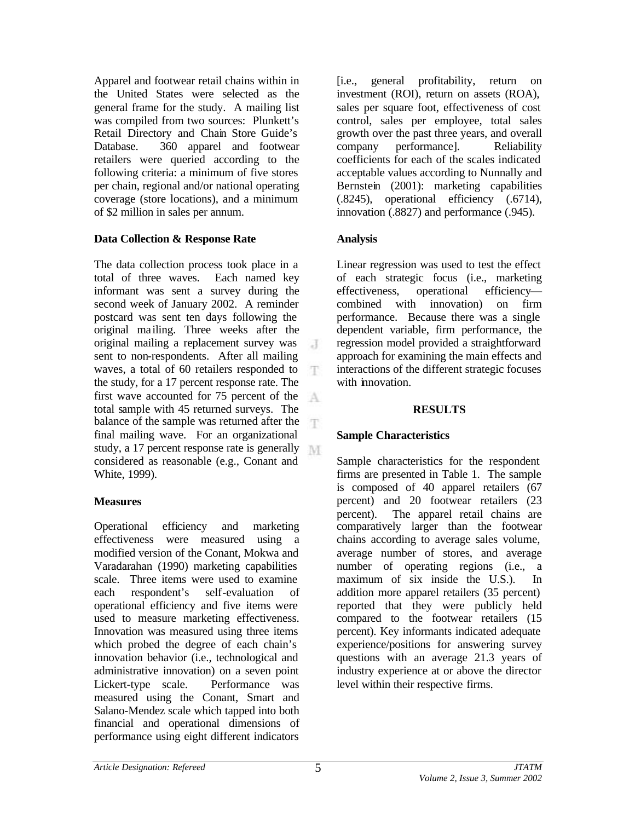Apparel and footwear retail chains within in the United States were selected as the general frame for the study. A mailing list was compiled from two sources: Plunkett's Retail Directory and Chain Store Guide's Database. 360 apparel and footwear retailers were queried according to the following criteria: a minimum of five stores per chain, regional and/or national operating coverage (store locations), and a minimum of \$2 million in sales per annum.

## **Data Collection & Response Rate**

The data collection process took place in a total of three waves. Each named key informant was sent a survey during the second week of January 2002. A reminder postcard was sent ten days following the original ma iling. Three weeks after the original mailing a replacement survey was  $\cdot$  T sent to non-respondents. After all mailing waves, a total of 60 retailers responded to T the study, for a 17 percent response rate. The first wave accounted for 75 percent of the A. total sample with 45 returned surveys. The balance of the sample was returned after the final mailing wave. For an organizational study, a 17 percent response rate is generally considered as reasonable (e.g., Conant and White, 1999).

#### **Measures**

Operational efficiency and marketing effectiveness were measured using a modified version of the Conant, Mokwa and Varadarahan (1990) marketing capabilities scale. Three items were used to examine each respondent's self-evaluation of operational efficiency and five items were used to measure marketing effectiveness. Innovation was measured using three items which probed the degree of each chain's innovation behavior (i.e., technological and administrative innovation) on a seven point Lickert-type scale. Performance was measured using the Conant, Smart and Salano-Mendez scale which tapped into both financial and operational dimensions of performance using eight different indicators

[i.e., general profitability, return on investment (ROI), return on assets (ROA), sales per square foot, effectiveness of cost control, sales per employee, total sales growth over the past three years, and overall company performance]. Reliability coefficients for each of the scales indicated acceptable values according to Nunnally and Bernstein (2001): marketing capabilities (.8245), operational efficiency (.6714), innovation (.8827) and performance (.945).

# **Analysis**

Linear regression was used to test the effect of each strategic focus (i.e., marketing effectiveness, operational efficiency combined with innovation) on firm performance. Because there was a single dependent variable, firm performance, the regression model provided a straightforward approach for examining the main effects and interactions of the different strategic focuses with innovation.

#### **RESULTS**

# **Sample Characteristics**

Sample characteristics for the respondent firms are presented in Table 1. The sample is composed of 40 apparel retailers (67 percent) and 20 footwear retailers (23 percent). The apparel retail chains are comparatively larger than the footwear chains according to average sales volume, average number of stores, and average number of operating regions (i.e., a maximum of six inside the U.S.). In addition more apparel retailers (35 percent) reported that they were publicly held compared to the footwear retailers (15 percent). Key informants indicated adequate experience/positions for answering survey questions with an average 21.3 years of industry experience at or above the director level within their respective firms.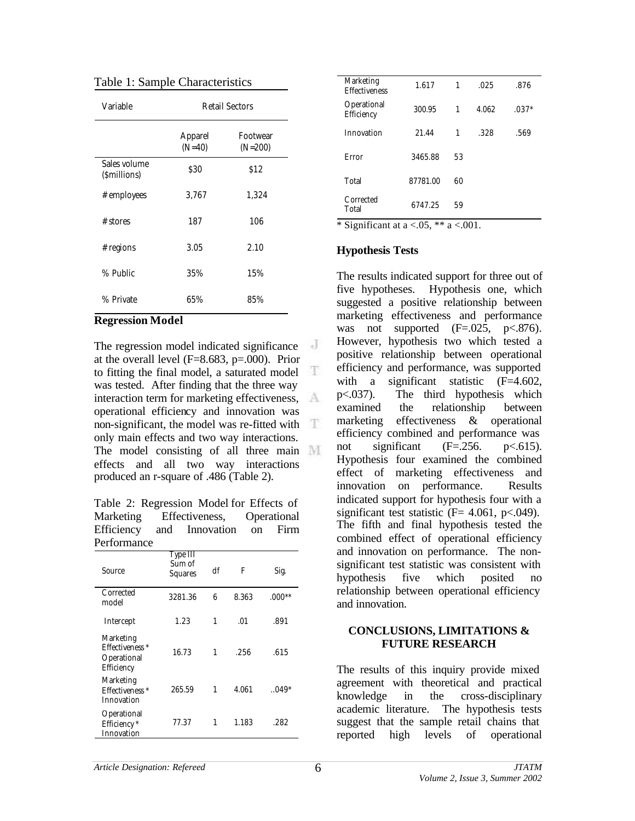| Variable                    | Retail Sectors                                              |                       |  |  |
|-----------------------------|-------------------------------------------------------------|-----------------------|--|--|
|                             | Apparel<br>$(N=40)$                                         | Footwear<br>$(N=200)$ |  |  |
| Sales volume<br>(Smillions) | \$30                                                        | \$12                  |  |  |
| # employees                 | 3,767                                                       | 1,324                 |  |  |
| # stores                    | 187                                                         | 106                   |  |  |
| # regions                   | 3.05                                                        | 2.10                  |  |  |
| % Public                    | 35%                                                         | 15%                   |  |  |
| % Private                   | 65%<br>$\overline{\phantom{0}}$<br>$\overline{\phantom{a}}$ | 85%                   |  |  |

Table 1: Sample Characteristics

#### **Regression Model**

 $\overline{a}$ The regression model indicated significance at the overall level (F=8.683, p=.000). Prior T to fitting the final model, a saturated model was tested. After finding that the three way interaction term for marketing effectiveness, operational efficiency and innovation was non-significant, the model was re-fitted with only main effects and two way interactions. The model consisting of all three main effects and all two way interactions produced an r-square of .486 (Table 2).

Table 2: Regression Model for Effects of Marketing Effectiveness, Operational Efficiency and Innovation on Firm Performance

| <u>elioninane</u>                                                    |                               |    |       |          |
|----------------------------------------------------------------------|-------------------------------|----|-------|----------|
| Source                                                               | Type III<br>Sum of<br>Squares | df | F     | Sig.     |
| Corrected<br>model                                                   | 3281.36                       | 6  | 8.363 | $.000**$ |
| Intercept                                                            | 1.23                          | 1  | .01   | .891     |
| Marketing<br>Effectiveness <sup>*</sup><br>Operational<br>Efficiency | 16.73                         | 1  | .256  | .615     |
| Marketing<br>Effectiveness <sup>*</sup><br>Innovation                | 265.59                        | 1  | 4.061 | $.049*$  |
| Operational<br>Efficiency *<br>Innovation                            | 77.37                         | 1  | 1.183 | .282     |

| $\cdots$                          | .        |    |       |         |
|-----------------------------------|----------|----|-------|---------|
| Corrected<br>Total                | 6747.25  | 59 |       |         |
| Total                             | 87781.00 | 60 |       |         |
| Error                             | 3465.88  | 53 |       |         |
| Innovation                        | 21.44    | 1  | .328  | .569    |
| Operational<br>Efficiency         | 300.95   | 1  | 4.062 | $.037*$ |
| Marketing<br><b>Effectiveness</b> | 1.617    | 1  | .025  | .876    |

\* Significant at  $a < .05$ , \*\*  $a < .001$ .

#### **Hypothesis Tests**

The results indicated support for three out of five hypotheses. Hypothesis one, which suggested a positive relationship between marketing effectiveness and performance was not supported  $(F=.025, p<.876)$ . However, hypothesis two which tested a positive relationship between operational efficiency and performance, was supported with a significant statistic (F=4.602, p<.037). The third hypothesis which examined the relationship between marketing effectiveness & operational efficiency combined and performance was not significant  $(F=.256.$  p $< .615).$ Hypothesis four examined the combined effect of marketing effectiveness and innovation on performance. Results indicated support for hypothesis four with a significant test statistic ( $F = 4.061$ ,  $p < .049$ ). The fifth and final hypothesis tested the combined effect of operational efficiency and innovation on performance. The nonsignificant test statistic was consistent with hypothesis five which posited no relationship between operational efficiency and innovation.

#### **CONCLUSIONS, LIMITATIONS & FUTURE RESEARCH**

The results of this inquiry provide mixed agreement with theoretical and practical knowledge in the cross-disciplinary academic literature. The hypothesis tests suggest that the sample retail chains that reported high levels of operational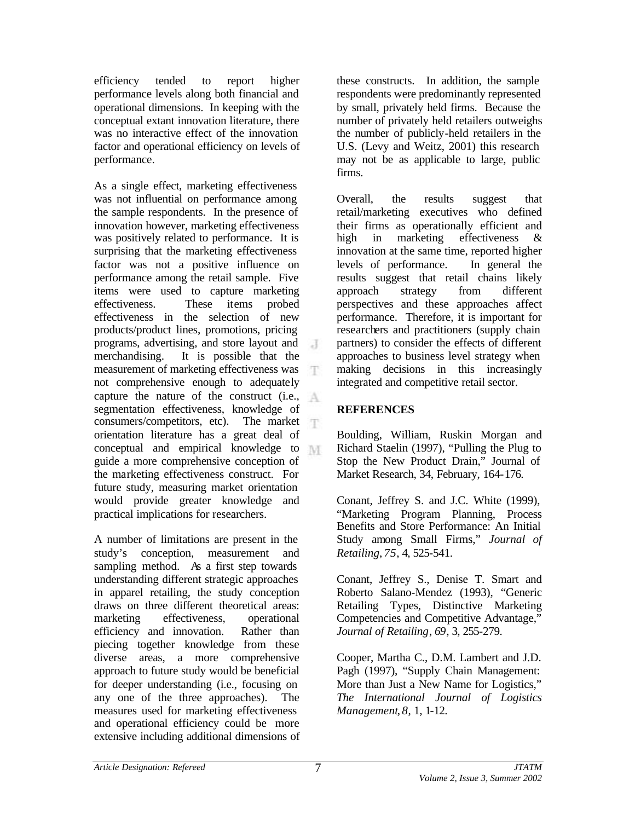efficiency tended to report higher performance levels along both financial and operational dimensions. In keeping with the conceptual extant innovation literature, there was no interactive effect of the innovation factor and operational efficiency on levels of performance.

As a single effect, marketing effectiveness was not influential on performance among the sample respondents. In the presence of innovation however, marketing effectiveness was positively related to performance. It is surprising that the marketing effectiveness factor was not a positive influence on performance among the retail sample. Five items were used to capture marketing effectiveness. These items probed effectiveness in the selection of new products/product lines, promotions, pricing programs, advertising, and store layout and merchandising. It is possible that the measurement of marketing effectiveness was not comprehensive enough to adequately capture the nature of the construct (i.e., segmentation effectiveness, knowledge of consumers/competitors, etc). The market orientation literature has a great deal of conceptual and empirical knowledge to guide a more comprehensive conception of the marketing effectiveness construct. For future study, measuring market orientation would provide greater knowledge and practical implications for researchers.

A number of limitations are present in the study's conception, measurement and sampling method. As a first step towards understanding different strategic approaches in apparel retailing, the study conception draws on three different theoretical areas: marketing effectiveness, operational efficiency and innovation. Rather than piecing together knowledge from these diverse areas, a more comprehensive approach to future study would be beneficial for deeper understanding (i.e., focusing on any one of the three approaches). The measures used for marketing effectiveness and operational efficiency could be more extensive including additional dimensions of these constructs. In addition, the sample respondents were predominantly represented by small, privately held firms. Because the number of privately held retailers outweighs the number of publicly-held retailers in the U.S. (Levy and Weitz, 2001) this research may not be as applicable to large, public firms.

Overall, the results suggest that retail/marketing executives who defined their firms as operationally efficient and high in marketing effectiveness & innovation at the same time, reported higher levels of performance. In general the results suggest that retail chains likely approach strategy from different perspectives and these approaches affect performance. Therefore, it is important for researchers and practitioners (supply chain partners) to consider the effects of different approaches to business level strategy when making decisions in this increasingly integrated and competitive retail sector.

## **REFERENCES**

Boulding, William, Ruskin Morgan and Richard Staelin (1997), "Pulling the Plug to Stop the New Product Drain," Journal of Market Research, 34, February, 164-176.

Conant, Jeffrey S. and J.C. White (1999), "Marketing Program Planning, Process Benefits and Store Performance: An Initial Study among Small Firms," *Journal of Retailing*, *75*, 4, 525-541.

Conant, Jeffrey S., Denise T. Smart and Roberto Salano-Mendez (1993), "Generic Retailing Types, Distinctive Marketing Competencies and Competitive Advantage," *Journal of Retailing*, *69*, 3, 255-279.

Cooper, Martha C., D.M. Lambert and J.D. Pagh (1997), "Supply Chain Management: More than Just a New Name for Logistics," *The International Journal of Logistics Management*, *8*, 1, 1-12.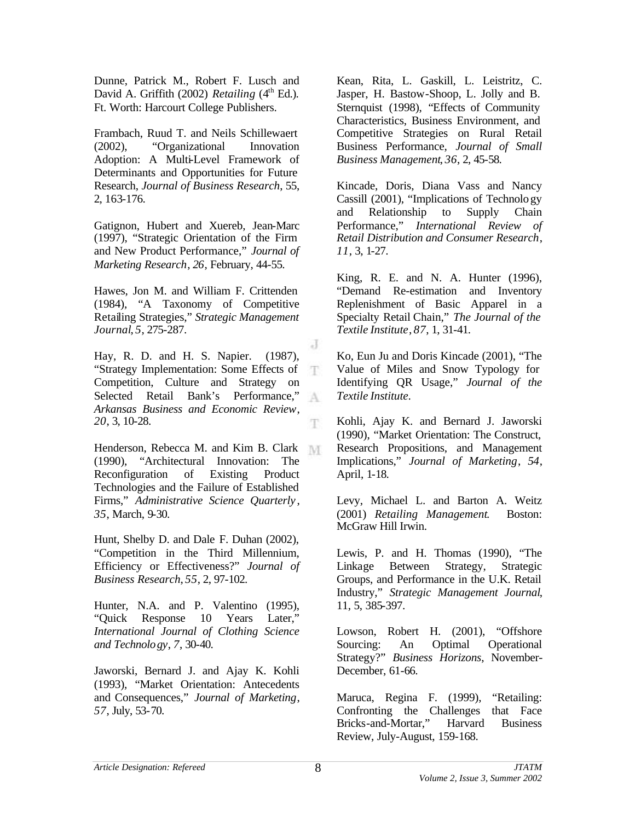Dunne, Patrick M., Robert F. Lusch and David A. Griffith  $(2002)$  *Retailing*  $(4<sup>th</sup> Ed.)$ . Ft. Worth: Harcourt College Publishers.

Frambach, Ruud T. and Neils Schillewaert (2002), "Organizational Innovation Adoption: A Multi-Level Framework of Determinants and Opportunities for Future Research, *Journal of Business Research*, 55, 2, 163-176.

Gatignon, Hubert and Xuereb, Jean-Marc (1997), "Strategic Orientation of the Firm and New Product Performance," *Journal of Marketing Research*, *26*, February, 44-55.

Hawes, Jon M. and William F. Crittenden (1984), "A Taxonomy of Competitive Retailing Strategies," *Strategic Management Journal*, *5*, 275-287.

Hay, R. D. and H. S. Napier. (1987), "Strategy Implementation: Some Effects of Competition, Culture and Strategy on Selected Retail Bank's Performance," A *Arkansas Business and Economic Review*, *20*, 3, 10-28.

Henderson, Rebecca M. and Kim B. Clark (1990), "Architectural Innovation: The Reconfiguration of Existing Product Technologies and the Failure of Established Firms," *Administrative Science Quarterly* , *35*, March, 9-30.

Hunt, Shelby D. and Dale F. Duhan (2002), "Competition in the Third Millennium, Efficiency or Effectiveness?" *Journal of Business Research*, *55*, 2, 97-102.

Hunter, N.A. and P. Valentino (1995), "Quick Response 10 Years Later," *International Journal of Clothing Science and Technology*, *7*, 30-40.

Jaworski, Bernard J. and Ajay K. Kohli (1993), "Market Orientation: Antecedents and Consequences," *Journal of Marketing*, *57*, July, 53-70.

Kean, Rita, L. Gaskill, L. Leistritz, C. Jasper, H. Bastow-Shoop, L. Jolly and B. Sternquist (1998), "Effects of Community Characteristics, Business Environment, and Competitive Strategies on Rural Retail Business Performance, *Journal of Small Business Management*, *36*, 2, 45-58.

Kincade, Doris, Diana Vass and Nancy Cassill (2001), "Implications of Technology and Relationship to Supply Chain Performance," *International Review of Retail Distribution and Consumer Research*, *11*, 3, 1-27.

King, R. E. and N. A. Hunter (1996), "Demand Re-estimation and Inventory Replenishment of Basic Apparel in a Specialty Retail Chain," *The Journal of the Textile Institute*, *87*, 1, 31-41.

Ko, Eun Ju and Doris Kincade (2001), "The Value of Miles and Snow Typology for Identifying QR Usage," *Journal of the Textile Institute*.

Kohli, Ajay K. and Bernard J. Jaworski (1990), "Market Orientation: The Construct, Research Propositions, and Management Implications," *Journal of Marketing*, *54*, April, 1-18.

Levy, Michael L. and Barton A. Weitz (2001) *Retailing Management*. Boston: McGraw Hill Irwin.

Lewis, P. and H. Thomas (1990), "The Linkage Between Strategy, Strategic Groups, and Performance in the U.K. Retail Industry," *Strategic Management Journal*, 11, 5, 385-397.

Lowson, Robert H. (2001), "Offshore Sourcing: An Optimal Operational Strategy?" *Business Horizons*, November-December, 61-66.

Maruca, Regina F. (1999), "Retailing: Confronting the Challenges that Face Bricks-and-Mortar," Harvard Business Review, July-August, 159-168.

J

T

Ŧ